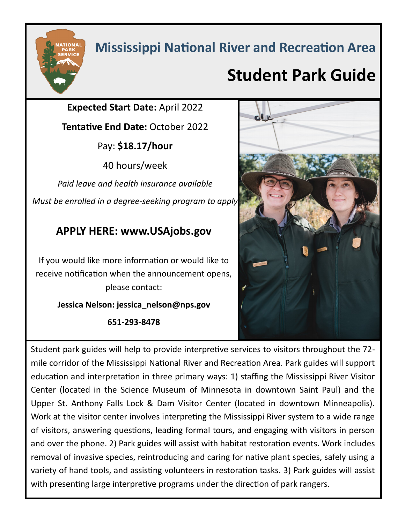## **Mississippi National River and Recreation Area**

## **Student Park Guide**

**Expected Start Date:** April 2022

**Tentative End Date:** October 2022

Pay: **\$18.17/hour**

40 hours/week

*Paid leave and health insurance available Must be enrolled in a degree-seeking program to apply*

## **APPLY HERE: www.USAjobs.gov**

If you would like more information or would like to receive notification when the announcement opens, please contact:

### **Jessica Nelson: jessica\_nelson@nps.gov**

**651-293-8478** 



Student park guides will help to provide interpretive services to visitors throughout the 72 mile corridor of the Mississippi National River and Recreation Area. Park guides will support education and interpretation in three primary ways: 1) staffing the Mississippi River Visitor Center (located in the Science Museum of Minnesota in downtown Saint Paul) and the Upper St. Anthony Falls Lock & Dam Visitor Center (located in downtown Minneapolis). Work at the visitor center involves interpreting the Mississippi River system to a wide range of visitors, answering questions, leading formal tours, and engaging with visitors in person and over the phone. 2) Park guides will assist with habitat restoration events. Work includes removal of invasive species, reintroducing and caring for native plant species, safely using a variety of hand tools, and assisting volunteers in restoration tasks. 3) Park guides will assist with presenting large interpretive programs under the direction of park rangers.